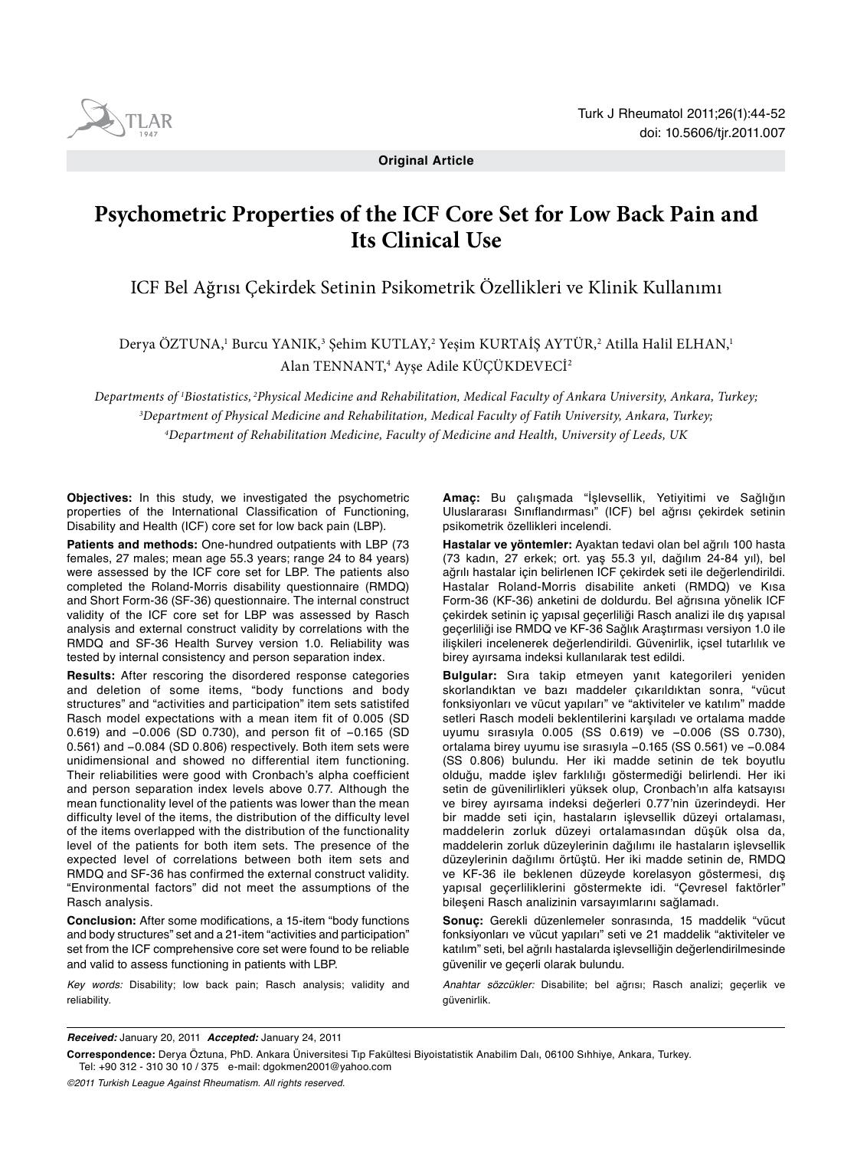

**Original Article**

# **Psychometric Properties of the ICF Core Set for Low Back Pain and Its Clinical Use**

ICF Bel Ağrısı Çekirdek Setinin Psikometrik Özellikleri ve Klinik Kullanımı

Derya ÖZTUNA,' Burcu YANIK,<sup>3</sup> Şehim KUTLAY,<sup>2</sup> Yeşim KURTAİŞ AYTÜR,<sup>2</sup> Atilla Halil ELHAN,' Alan TENNANT,<sup>4</sup> Ayşe Adile KÜÇÜKDEVECİ<sup>2</sup>

*Departments of 1 Biostatistics, 2Physical Medicine and Rehabilitation, Medical Faculty of Ankara University, Ankara, Turkey; 3 Department of Physical Medicine and Rehabilitation, Medical Faculty of Fatih University, Ankara, Turkey; 4 Department of Rehabilitation Medicine, Faculty of Medicine and Health, University of Leeds, UK*

**Objectives:** In this study, we investigated the psychometric properties of the International Classification of Functioning, Disability and Health (ICF) core set for low back pain (LBP).

**Patients and methods:** One-hundred outpatients with LBP (73 females, 27 males; mean age 55.3 years; range 24 to 84 years) were assessed by the ICF core set for LBP. The patients also completed the Roland-Morris disability questionnaire (RMDQ) and Short Form-36 (SF-36) questionnaire. The internal construct validity of the ICF core set for LBP was assessed by Rasch analysis and external construct validity by correlations with the RMDQ and SF-36 Health Survey version 1.0. Reliability was tested by internal consistency and person separation index.

**Results:** After rescoring the disordered response categories and deletion of some items, "body functions and body structures" and "activities and participation" item sets satistifed Rasch model expectations with a mean item fit of 0.005 (SD 0.619) and −0.006 (SD 0.730), and person fit of −0.165 (SD 0.561) and −0.084 (SD 0.806) respectively. Both item sets were unidimensional and showed no differential item functioning. Their reliabilities were good with Cronbach's alpha coefficient and person separation index levels above 0.77. Although the mean functionality level of the patients was lower than the mean difficulty level of the items, the distribution of the difficulty level of the items overlapped with the distribution of the functionality level of the patients for both item sets. The presence of the expected level of correlations between both item sets and RMDQ and SF-36 has confirmed the external construct validity. "Environmental factors" did not meet the assumptions of the Rasch analysis.

**Conclusion:** After some modifications, a 15-item "body functions and body structures" set and a 21-item "activities and participation" set from the ICF comprehensive core set were found to be reliable and valid to assess functioning in patients with LBP.

*Key words:* Disability; low back pain; Rasch analysis; validity and reliability.

**Amaç:** Bu çalışmada "İşlevsellik, Yetiyitimi ve Sağlığın Uluslararası Sınıflandırması" (ICF) bel ağrısı çekirdek setinin psikometrik özellikleri incelendi.

**Hastalar ve yöntemler:** Ayaktan tedavi olan bel ağrılı 100 hasta (73 kadın, 27 erkek; ort. yaş 55.3 yıl, dağılım 24-84 yıl), bel ağrılı hastalar için belirlenen ICF çekirdek seti ile değerlendirildi. Hastalar Roland-Morris disabilite anketi (RMDQ) ve Kısa Form-36 (KF-36) anketini de doldurdu. Bel ağrısına yönelik ICF çekirdek setinin iç yapısal geçerliliği Rasch analizi ile dış yapısal geçerliliği ise RMDQ ve KF-36 Sağlık Araştırması versiyon 1.0 ile ilişkileri incelenerek değerlendirildi. Güvenirlik, içsel tutarlılık ve birey ayırsama indeksi kullanılarak test edildi.

**Bulgular:** Sıra takip etmeyen yanıt kategorileri yeniden skorlandıktan ve bazı maddeler çıkarıldıktan sonra, "vücut fonksiyonları ve vücut yapıları" ve "aktiviteler ve katılım" madde setleri Rasch modeli beklentilerini karşıladı ve ortalama madde uyumu sırasıyla 0.005 (SS 0.619) ve −0.006 (SS 0.730), ortalama birey uyumu ise sırasıyla −0.165 (SS 0.561) ve −0.084 (SS 0.806) bulundu. Her iki madde setinin de tek boyutlu olduğu, madde işlev farklılığı göstermediği belirlendi. Her iki setin de güvenilirlikleri yüksek olup, Cronbach'ın alfa katsayısı ve birey ayırsama indeksi değerleri 0.77'nin üzerindeydi. Her bir madde seti için, hastaların işlevsellik düzeyi ortalaması, maddelerin zorluk düzeyi ortalamasından düşük olsa da, maddelerin zorluk düzeylerinin dağılımı ile hastaların işlevsellik düzeylerinin dağılımı örtüştü. Her iki madde setinin de, RMDQ ve KF-36 ile beklenen düzeyde korelasyon göstermesi, dış yapısal geçerliliklerini göstermekte idi. "Çevresel faktörler" bileşeni Rasch analizinin varsayımlarını sağlamadı.

**Sonuç:** Gerekli düzenlemeler sonrasında, 15 maddelik "vücut fonksiyonları ve vücut yapıları" seti ve 21 maddelik "aktiviteler ve katılım" seti, bel ağrılı hastalarda işlevselliğin değerlendirilmesinde güvenilir ve geçerli olarak bulundu.

*Anahtar sözcükler:* Disabilite; bel ağrısı; Rasch analizi; geçerlik ve güvenirlik.

*Received:* January 20, 2011 *Accepted:* January 24, 2011

**Correspondence:** Derya Öztuna, PhD. Ankara Üniversitesi Tıp Fakültesi Biyoistatistik Anabilim Dalı, 06100 Sıhhiye, Ankara, Turkey. Tel: +90 312 - 310 30 10 / 375 e-mail: dgokmen2001@yahoo.com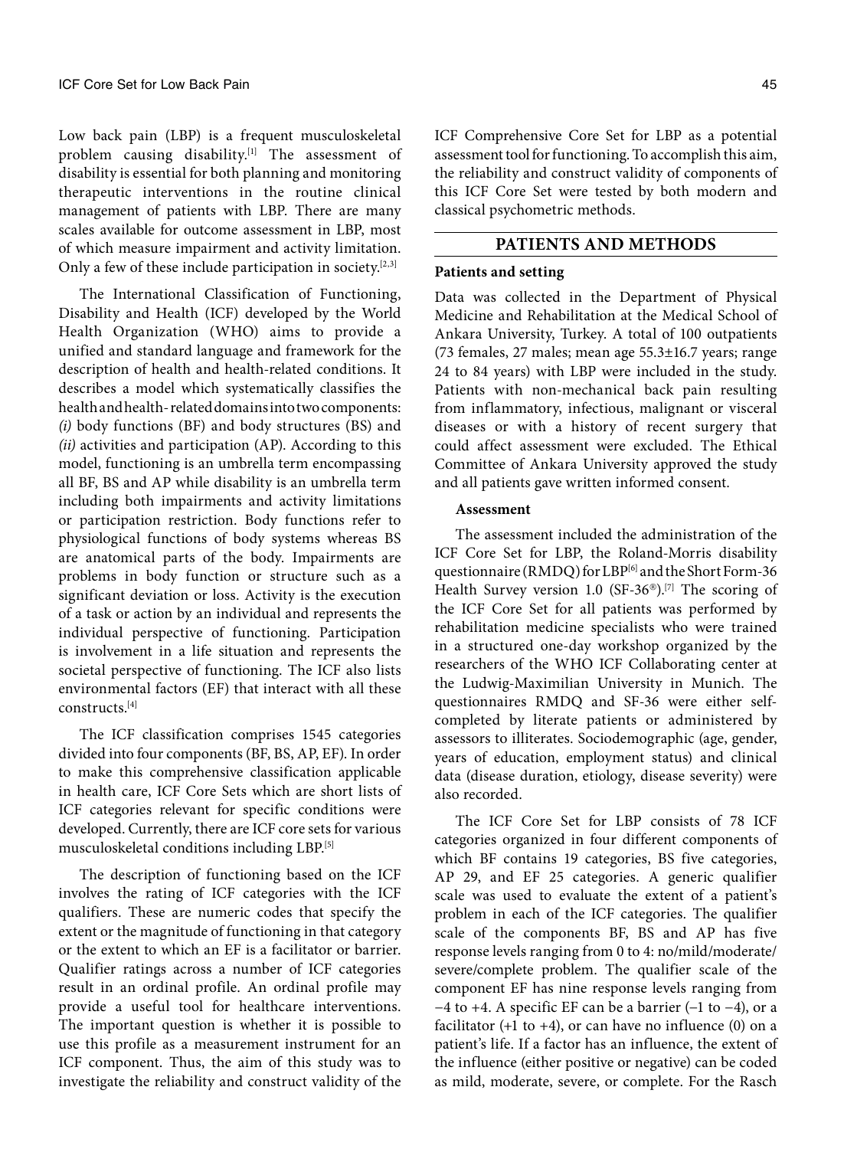Low back pain (LBP) is a frequent musculoskeletal problem causing disability.<sup>[1]</sup> The assessment of disability is essential for both planning and monitoring therapeutic interventions in the routine clinical management of patients with LBP. There are many scales available for outcome assessment in LBP, most of which measure impairment and activity limitation. Only a few of these include participation in society.<sup>[2,3]</sup>

The International Classification of Functioning, Disability and Health (ICF) developed by the World Health Organization (WHO) aims to provide a unified and standard language and framework for the description of health and health-related conditions. It describes a model which systematically classifies the health and health- related domains into two components: *(i)* body functions (BF) and body structures (BS) and *(ii)* activities and participation (AP). According to this model, functioning is an umbrella term encompassing all BF, BS and AP while disability is an umbrella term including both impairments and activity limitations or participation restriction. Body functions refer to physiological functions of body systems whereas BS are anatomical parts of the body. Impairments are problems in body function or structure such as a significant deviation or loss. Activity is the execution of a task or action by an individual and represents the individual perspective of functioning. Participation is involvement in a life situation and represents the societal perspective of functioning. The ICF also lists environmental factors (EF) that interact with all these constructs.[4]

The ICF classification comprises 1545 categories divided into four components (BF, BS, AP, EF). In order to make this comprehensive classification applicable in health care, ICF Core Sets which are short lists of ICF categories relevant for specific conditions were developed. Currently, there are ICF core sets for various musculoskeletal conditions including LBP.[5]

The description of functioning based on the ICF involves the rating of ICF categories with the ICF qualifiers. These are numeric codes that specify the extent or the magnitude of functioning in that category or the extent to which an EF is a facilitator or barrier. Qualifier ratings across a number of ICF categories result in an ordinal profile. An ordinal profile may provide a useful tool for healthcare interventions. The important question is whether it is possible to use this profile as a measurement instrument for an ICF component. Thus, the aim of this study was to investigate the reliability and construct validity of the

ICF Comprehensive Core Set for LBP as a potential assessment tool for functioning. To accomplish this aim, the reliability and construct validity of components of this ICF Core Set were tested by both modern and classical psychometric methods.

# **PATIENTS AND METHODS**

## **Patients and setting**

Data was collected in the Department of Physical Medicine and Rehabilitation at the Medical School of Ankara University, Turkey. A total of 100 outpatients (73 females, 27 males; mean age 55.3±16.7 years; range 24 to 84 years) with LBP were included in the study. Patients with non-mechanical back pain resulting from inflammatory, infectious, malignant or visceral diseases or with a history of recent surgery that could affect assessment were excluded. The Ethical Committee of Ankara University approved the study and all patients gave written informed consent.

#### **Assessment**

The assessment included the administration of the ICF Core Set for LBP, the Roland-Morris disability questionnaire (RMDQ) for LBP[6] and the Short Form-36 Health Survey version 1.0 (SF-36<sup>®</sup>).<sup>[7]</sup> The scoring of the ICF Core Set for all patients was performed by rehabilitation medicine specialists who were trained in a structured one-day workshop organized by the researchers of the WHO ICF Collaborating center at the Ludwig-Maximilian University in Munich. The questionnaires RMDQ and SF-36 were either selfcompleted by literate patients or administered by assessors to illiterates. Sociodemographic (age, gender, years of education, employment status) and clinical data (disease duration, etiology, disease severity) were also recorded.

The ICF Core Set for LBP consists of 78 ICF categories organized in four different components of which BF contains 19 categories, BS five categories, AP 29, and EF 25 categories. A generic qualifier scale was used to evaluate the extent of a patient's problem in each of the ICF categories. The qualifier scale of the components BF, BS and AP has five response levels ranging from 0 to 4: no/mild/moderate/ severe/complete problem. The qualifier scale of the component EF has nine response levels ranging from  $-4$  to  $+4$ . A specific EF can be a barrier ( $-1$  to  $-4$ ), or a facilitator  $(+1 \text{ to } +4)$ , or can have no influence  $(0)$  on a patient's life. If a factor has an influence, the extent of the influence (either positive or negative) can be coded as mild, moderate, severe, or complete. For the Rasch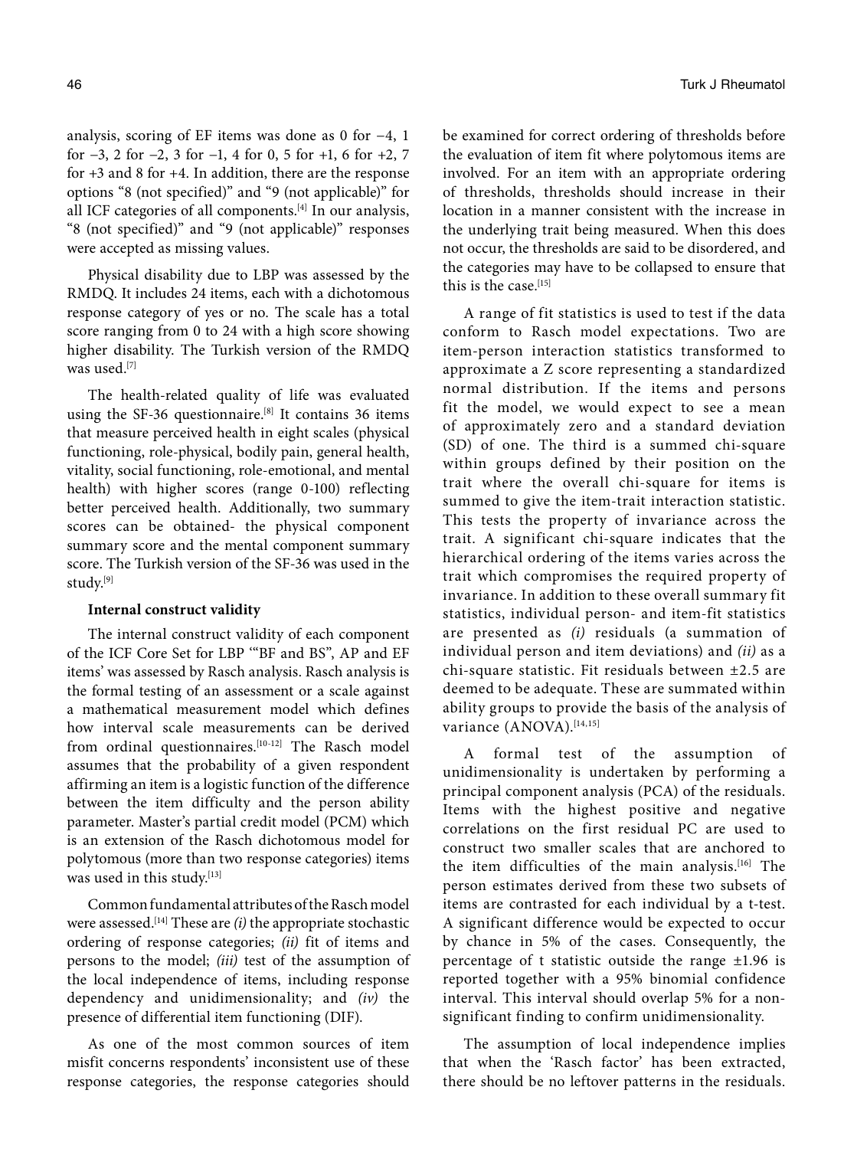analysis, scoring of EF items was done as 0 for −4, 1 for −3, 2 for −2, 3 for −1, 4 for 0, 5 for +1, 6 for +2, 7 for +3 and 8 for +4. In addition, there are the response options "8 (not specified)" and "9 (not applicable)" for all ICF categories of all components.[4] In our analysis, "8 (not specified)" and "9 (not applicable)" responses were accepted as missing values.

Physical disability due to LBP was assessed by the RMDQ. It includes 24 items, each with a dichotomous response category of yes or no. The scale has a total score ranging from 0 to 24 with a high score showing higher disability. The Turkish version of the RMDQ was used.<sup>[7]</sup>

The health-related quality of life was evaluated using the SF-36 questionnaire.<sup>[8]</sup> It contains 36 items that measure perceived health in eight scales (physical functioning, role-physical, bodily pain, general health, vitality, social functioning, role-emotional, and mental health) with higher scores (range 0-100) reflecting better perceived health. Additionally, two summary scores can be obtained- the physical component summary score and the mental component summary score. The Turkish version of the SF-36 was used in the study.[9]

#### **Internal construct validity**

The internal construct validity of each component of the ICF Core Set for LBP '"BF and BS", AP and EF items' was assessed by Rasch analysis. Rasch analysis is the formal testing of an assessment or a scale against a mathematical measurement model which defines how interval scale measurements can be derived from ordinal questionnaires.<sup>[10-12]</sup> The Rasch model assumes that the probability of a given respondent affirming an item is a logistic function of the difference between the item difficulty and the person ability parameter. Master's partial credit model (PCM) which is an extension of the Rasch dichotomous model for polytomous (more than two response categories) items was used in this study.[13]

Common fundamental attributes of the Rasch model were assessed.[14] These are *(i)* the appropriate stochastic ordering of response categories; *(ii)* fit of items and persons to the model; *(iii)* test of the assumption of the local independence of items, including response dependency and unidimensionality; and *(iv)* the presence of differential item functioning (DIF).

As one of the most common sources of item misfit concerns respondents' inconsistent use of these response categories, the response categories should be examined for correct ordering of thresholds before the evaluation of item fit where polytomous items are involved. For an item with an appropriate ordering of thresholds, thresholds should increase in their location in a manner consistent with the increase in the underlying trait being measured. When this does not occur, the thresholds are said to be disordered, and the categories may have to be collapsed to ensure that this is the case.<sup>[15]</sup>

A range of fit statistics is used to test if the data conform to Rasch model expectations. Two are item-person interaction statistics transformed to approximate a Z score representing a standardized normal distribution. If the items and persons fit the model, we would expect to see a mean of approximately zero and a standard deviation (SD) of one. The third is a summed chi-square within groups defined by their position on the trait where the overall chi-square for items is summed to give the item-trait interaction statistic. This tests the property of invariance across the trait. A significant chi-square indicates that the hierarchical ordering of the items varies across the trait which compromises the required property of invariance. In addition to these overall summary fit statistics, individual person- and item-fit statistics are presented as *(i)* residuals (a summation of individual person and item deviations) and *(ii)* as a chi-square statistic. Fit residuals between  $\pm 2.5$  are deemed to be adequate. These are summated within ability groups to provide the basis of the analysis of variance (ANOVA).<sup>[14,15]</sup>

A formal test of the assumption of unidimensionality is undertaken by performing a principal component analysis (PCA) of the residuals. Items with the highest positive and negative correlations on the first residual PC are used to construct two smaller scales that are anchored to the item difficulties of the main analysis.<sup>[16]</sup> The person estimates derived from these two subsets of items are contrasted for each individual by a t-test. A significant difference would be expected to occur by chance in 5% of the cases. Consequently, the percentage of t statistic outside the range  $\pm 1.96$  is reported together with a 95% binomial confidence interval. This interval should overlap 5% for a nonsignificant finding to confirm unidimensionality.

The assumption of local independence implies that when the 'Rasch factor' has been extracted, there should be no leftover patterns in the residuals.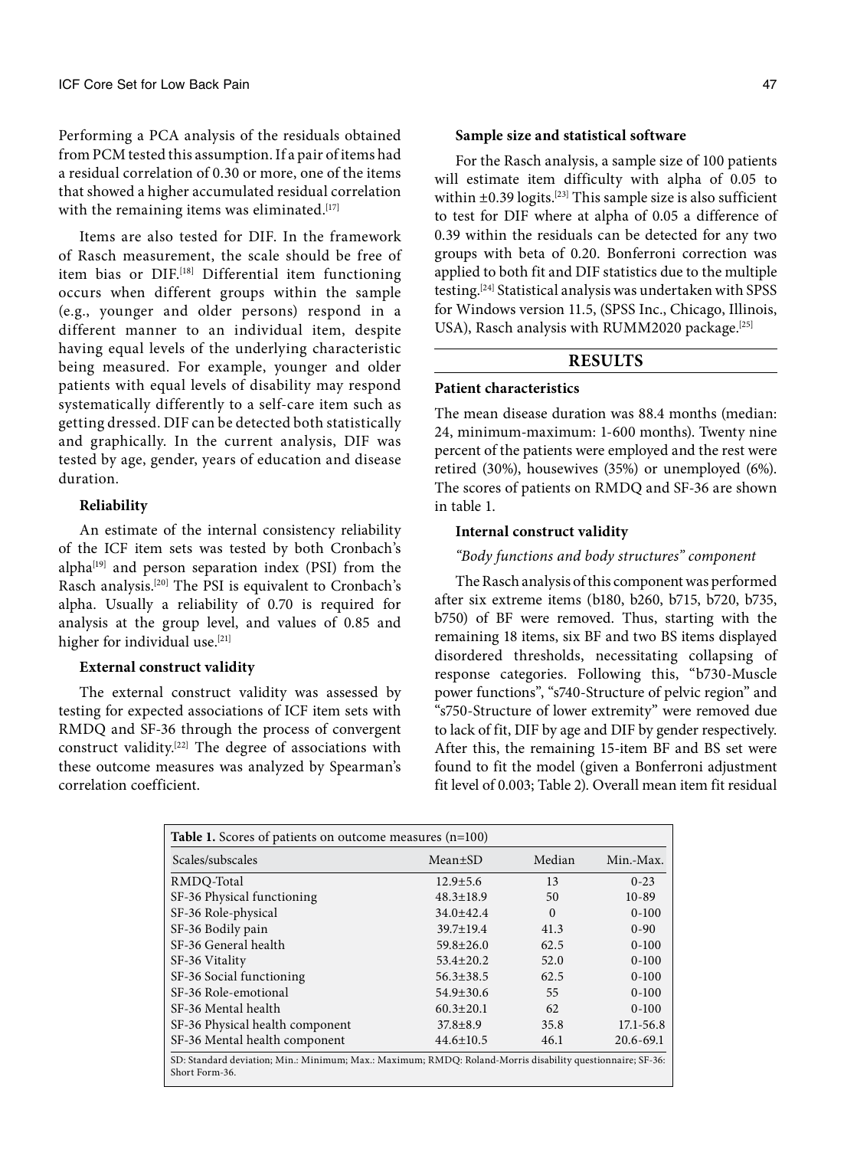Performing a PCA analysis of the residuals obtained from PCM tested this assumption. If a pair of items had a residual correlation of 0.30 or more, one of the items that showed a higher accumulated residual correlation with the remaining items was eliminated.<sup>[17]</sup>

Items are also tested for DIF. In the framework of Rasch measurement, the scale should be free of item bias or DIF.[18] Differential item functioning occurs when different groups within the sample (e.g., younger and older persons) respond in a different manner to an individual item, despite having equal levels of the underlying characteristic being measured. For example, younger and older patients with equal levels of disability may respond systematically differently to a self-care item such as getting dressed. DIF can be detected both statistically and graphically. In the current analysis, DIF was tested by age, gender, years of education and disease duration.

## **Reliability**

An estimate of the internal consistency reliability of the ICF item sets was tested by both Cronbach's alpha $[19]$  and person separation index (PSI) from the Rasch analysis.[20] The PSI is equivalent to Cronbach's alpha. Usually a reliability of 0.70 is required for analysis at the group level, and values of 0.85 and higher for individual use.<sup>[21]</sup>

# **External construct validity**

The external construct validity was assessed by testing for expected associations of ICF item sets with RMDQ and SF-36 through the process of convergent construct validity.[22] The degree of associations with these outcome measures was analyzed by Spearman's correlation coefficient.

#### **Sample size and statistical software**

For the Rasch analysis, a sample size of 100 patients will estimate item difficulty with alpha of 0.05 to within  $\pm 0.39$  logits.<sup>[23]</sup> This sample size is also sufficient to test for DIF where at alpha of 0.05 a difference of 0.39 within the residuals can be detected for any two groups with beta of 0.20. Bonferroni correction was applied to both fit and DIF statistics due to the multiple testing.[24] Statistical analysis was undertaken with SPSS for Windows version 11.5, (SPSS Inc., Chicago, Illinois, USA), Rasch analysis with RUMM2020 package.<sup>[25]</sup>

# **RESULTS**

# **Patient characteristics**

The mean disease duration was 88.4 months (median: 24, minimum-maximum: 1-600 months). Twenty nine percent of the patients were employed and the rest were retired (30%), housewives (35%) or unemployed (6%). The scores of patients on RMDQ and SF-36 are shown in table 1.

## **Internal construct validity**

#### *"Body functions and body structures" component*

The Rasch analysis of this component was performed after six extreme items (b180, b260, b715, b720, b735, b750) of BF were removed. Thus, starting with the remaining 18 items, six BF and two BS items displayed disordered thresholds, necessitating collapsing of response categories. Following this, "b730-Muscle power functions", "s740-Structure of pelvic region" and "s750-Structure of lower extremity" were removed due to lack of fit, DIF by age and DIF by gender respectively. After this, the remaining 15-item BF and BS set were found to fit the model (given a Bonferroni adjustment fit level of 0.003; Table 2). Overall mean item fit residual

| Table 1. Scores of patients on outcome measures (n=100)                                                                      |                 |          |               |  |
|------------------------------------------------------------------------------------------------------------------------------|-----------------|----------|---------------|--|
| Scales/subscales                                                                                                             | $Mean \pm SD$   | Median   | Min.-Max.     |  |
| RMDQ-Total                                                                                                                   | $12.9 \pm 5.6$  | 13       | $0 - 23$      |  |
| SF-36 Physical functioning                                                                                                   | $48.3 \pm 18.9$ | 50       | $10 - 89$     |  |
| SF-36 Role-physical                                                                                                          | $34.0+42.4$     | $\Omega$ | $0 - 100$     |  |
| SF-36 Bodily pain                                                                                                            | $39.7 \pm 19.4$ | 41.3     | $0 - 90$      |  |
| SF-36 General health                                                                                                         | $59.8 \pm 26.0$ | 62.5     | $0-100$       |  |
| SF-36 Vitality                                                                                                               | $53.4 \pm 20.2$ | 52.0     | $0-100$       |  |
| SF-36 Social functioning                                                                                                     | $56.3 \pm 38.5$ | 62.5     | $0 - 100$     |  |
| SF-36 Role-emotional                                                                                                         | $54.9 \pm 30.6$ | 55       | $0 - 100$     |  |
| SF-36 Mental health                                                                                                          | $60.3 \pm 20.1$ | 62       | $0-100$       |  |
| SF-36 Physical health component                                                                                              | $37.8 \pm 8.9$  | 35.8     | 17.1-56.8     |  |
| SF-36 Mental health component                                                                                                | $44.6 \pm 10.5$ | 46.1     | $20.6 - 69.1$ |  |
| SD: Standard deviation; Min.: Minimum; Max.: Maximum; RMDQ: Roland-Morris disability questionnaire; SF-36:<br>Short Form-36. |                 |          |               |  |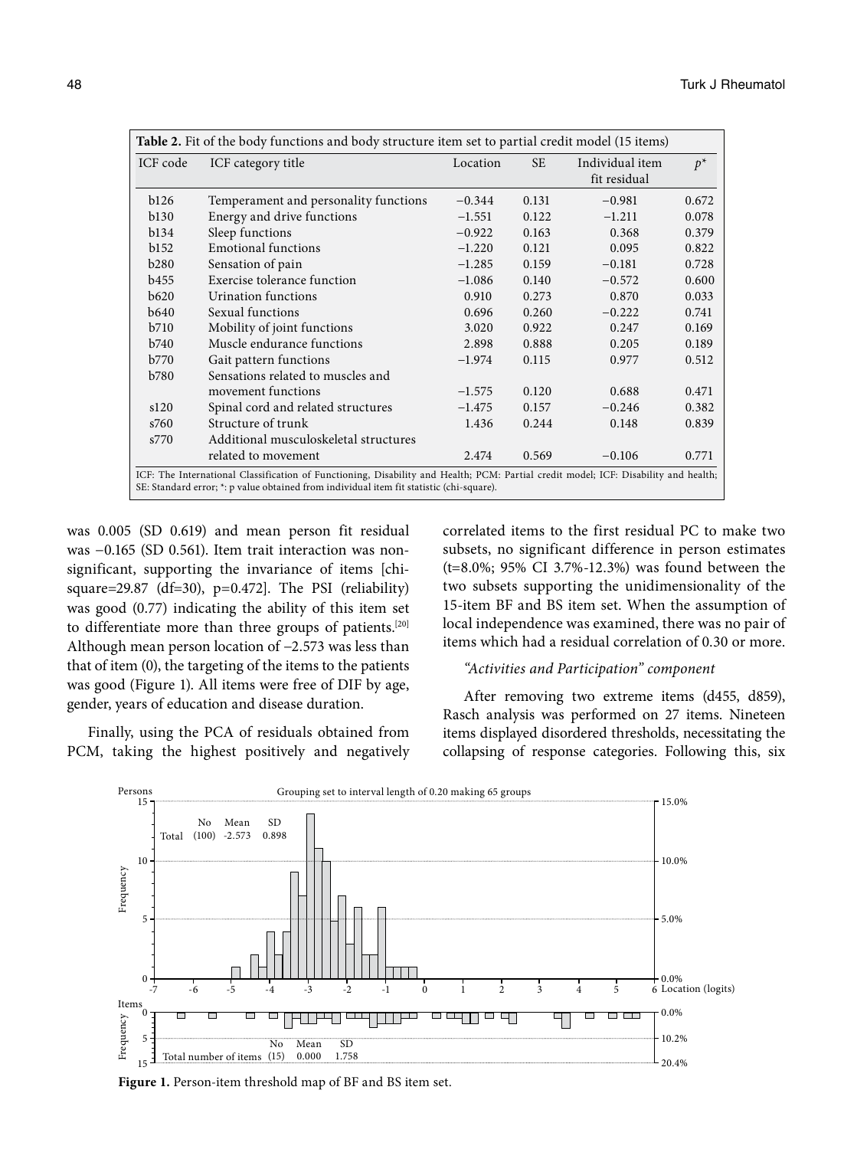|                  | Table 2. Fit of the body functions and body structure item set to partial credit model (15 items)                                                                                                                               |          |           |                                 |       |
|------------------|---------------------------------------------------------------------------------------------------------------------------------------------------------------------------------------------------------------------------------|----------|-----------|---------------------------------|-------|
| ICF code         | ICF category title                                                                                                                                                                                                              | Location | <b>SE</b> | Individual item<br>fit residual | $p^*$ |
| b126             | Temperament and personality functions                                                                                                                                                                                           | $-0.344$ | 0.131     | $-0.981$                        | 0.672 |
| b130             | Energy and drive functions                                                                                                                                                                                                      | $-1.551$ | 0.122     | $-1.211$                        | 0.078 |
| b134             | Sleep functions                                                                                                                                                                                                                 | $-0.922$ | 0.163     | 0.368                           | 0.379 |
| b <sub>152</sub> | Emotional functions                                                                                                                                                                                                             | $-1.220$ | 0.121     | 0.095                           | 0.822 |
| <b>b</b> 280     | Sensation of pain                                                                                                                                                                                                               | $-1.285$ | 0.159     | $-0.181$                        | 0.728 |
| <b>b</b> 455     | Exercise tolerance function                                                                                                                                                                                                     | $-1.086$ | 0.140     | $-0.572$                        | 0.600 |
| <b>b620</b>      | Urination functions                                                                                                                                                                                                             | 0.910    | 0.273     | 0.870                           | 0.033 |
| <b>b640</b>      | Sexual functions                                                                                                                                                                                                                | 0.696    | 0.260     | $-0.222$                        | 0.741 |
| <b>b</b> 710     | Mobility of joint functions                                                                                                                                                                                                     | 3.020    | 0.922     | 0.247                           | 0.169 |
| <b>b</b> 740     | Muscle endurance functions                                                                                                                                                                                                      | 2.898    | 0.888     | 0.205                           | 0.189 |
| <b>b</b> 770     | Gait pattern functions                                                                                                                                                                                                          | $-1.974$ | 0.115     | 0.977                           | 0.512 |
| <b>b</b> 780     | Sensations related to muscles and                                                                                                                                                                                               |          |           |                                 |       |
|                  | movement functions                                                                                                                                                                                                              | $-1.575$ | 0.120     | 0.688                           | 0.471 |
| s120             | Spinal cord and related structures                                                                                                                                                                                              | $-1.475$ | 0.157     | $-0.246$                        | 0.382 |
| s760             | Structure of trunk                                                                                                                                                                                                              | 1.436    | 0.244     | 0.148                           | 0.839 |
| s770             | Additional musculoskeletal structures                                                                                                                                                                                           |          |           |                                 |       |
|                  | related to movement                                                                                                                                                                                                             | 2.474    | 0.569     | $-0.106$                        | 0.771 |
|                  | ICF: The International Classification of Functioning, Disability and Health; PCM: Partial credit model; ICF: Disability and health;<br>SE: Standard error; *: p value obtained from individual item fit statistic (chi-square). |          |           |                                 |       |

was 0.005 (SD 0.619) and mean person fit residual was −0.165 (SD 0.561). Item trait interaction was nonsignificant, supporting the invariance of items [chisquare=29.87 (df=30), p=0.472]. The PSI (reliability) was good (0.77) indicating the ability of this item set to differentiate more than three groups of patients.<sup>[20]</sup> Although mean person location of −2.573 was less than that of item (0), the targeting of the items to the patients was good (Figure 1). All items were free of DIF by age, gender, years of education and disease duration.

Finally, using the PCA of residuals obtained from PCM, taking the highest positively and negatively correlated items to the first residual PC to make two subsets, no significant difference in person estimates (t=8.0%; 95% CI 3.7%-12.3%) was found between the two subsets supporting the unidimensionality of the 15-item BF and BS item set. When the assumption of local independence was examined, there was no pair of items which had a residual correlation of 0.30 or more.

# *"Activities and Participation" component*

After removing two extreme items (d455, d859), Rasch analysis was performed on 27 items. Nineteen items displayed disordered thresholds, necessitating the collapsing of response categories. Following this, six



**Figure 1.** Person-item threshold map of BF and BS item set.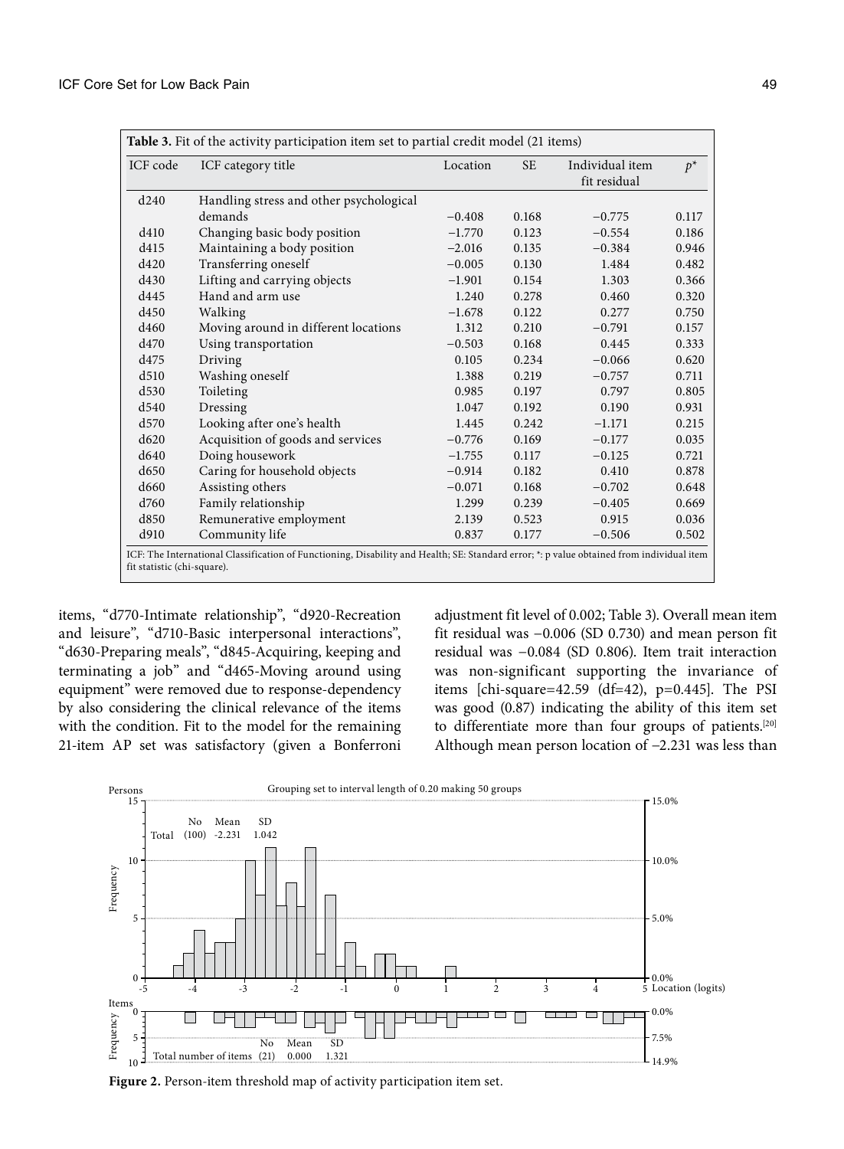| Table 3. Fit of the activity participation item set to partial credit model (21 items) |                                                                                                                                           |          |           |                                 |       |
|----------------------------------------------------------------------------------------|-------------------------------------------------------------------------------------------------------------------------------------------|----------|-----------|---------------------------------|-------|
| ICF code                                                                               | ICF category title                                                                                                                        | Location | <b>SE</b> | Individual item<br>fit residual | $p^*$ |
| d240                                                                                   | Handling stress and other psychological                                                                                                   |          |           |                                 |       |
|                                                                                        | demands                                                                                                                                   | $-0.408$ | 0.168     | $-0.775$                        | 0.117 |
| d410                                                                                   | Changing basic body position                                                                                                              | $-1.770$ | 0.123     | $-0.554$                        | 0.186 |
| d415                                                                                   | Maintaining a body position                                                                                                               | $-2.016$ | 0.135     | $-0.384$                        | 0.946 |
| d420                                                                                   | Transferring oneself                                                                                                                      | $-0.005$ | 0.130     | 1.484                           | 0.482 |
| d430                                                                                   | Lifting and carrying objects                                                                                                              | $-1.901$ | 0.154     | 1.303                           | 0.366 |
| d445                                                                                   | Hand and arm use                                                                                                                          | 1.240    | 0.278     | 0.460                           | 0.320 |
| d450                                                                                   | Walking                                                                                                                                   | $-1.678$ | 0.122     | 0.277                           | 0.750 |
| d460                                                                                   | Moving around in different locations                                                                                                      | 1.312    | 0.210     | $-0.791$                        | 0.157 |
| d470                                                                                   | Using transportation                                                                                                                      | $-0.503$ | 0.168     | 0.445                           | 0.333 |
| d <sub>475</sub>                                                                       | Driving                                                                                                                                   | 0.105    | 0.234     | $-0.066$                        | 0.620 |
| d510                                                                                   | Washing oneself                                                                                                                           | 1.388    | 0.219     | $-0.757$                        | 0.711 |
| d530                                                                                   | Toileting                                                                                                                                 | 0.985    | 0.197     | 0.797                           | 0.805 |
| d540                                                                                   | Dressing                                                                                                                                  | 1.047    | 0.192     | 0.190                           | 0.931 |
| d570                                                                                   | Looking after one's health                                                                                                                | 1.445    | 0.242     | $-1.171$                        | 0.215 |
| d620                                                                                   | Acquisition of goods and services                                                                                                         | $-0.776$ | 0.169     | $-0.177$                        | 0.035 |
| d640                                                                                   | Doing housework                                                                                                                           | $-1.755$ | 0.117     | $-0.125$                        | 0.721 |
| d650                                                                                   | Caring for household objects                                                                                                              | $-0.914$ | 0.182     | 0.410                           | 0.878 |
| d660                                                                                   | Assisting others                                                                                                                          | $-0.071$ | 0.168     | $-0.702$                        | 0.648 |
| d760                                                                                   | Family relationship                                                                                                                       | 1.299    | 0.239     | $-0.405$                        | 0.669 |
| d850                                                                                   | Remunerative employment                                                                                                                   | 2.139    | 0.523     | 0.915                           | 0.036 |
| d910                                                                                   | Community life                                                                                                                            | 0.837    | 0.177     | $-0.506$                        | 0.502 |
| fit statistic (chi-square).                                                            | ICF: The International Classification of Functioning, Disability and Health; SE: Standard error; *: p value obtained from individual item |          |           |                                 |       |

items, "d770-Intimate relationship", "d920-Recreation and leisure", "d710-Basic interpersonal interactions", "d630-Preparing meals", "d845-Acquiring, keeping and terminating a job" and "d465-Moving around using equipment" were removed due to response-dependency by also considering the clinical relevance of the items with the condition. Fit to the model for the remaining 21-item AP set was satisfactory (given a Bonferroni adjustment fit level of 0.002; Table 3). Overall mean item fit residual was −0.006 (SD 0.730) and mean person fit residual was −0.084 (SD 0.806). Item trait interaction was non-significant supporting the invariance of items [chi-square=42.59 (df=42),  $p=0.445$ ]. The PSI was good (0.87) indicating the ability of this item set to differentiate more than four groups of patients.[20] Although mean person location of −2.231 was less than



**Figure 2.** Person-item threshold map of activity participation item set.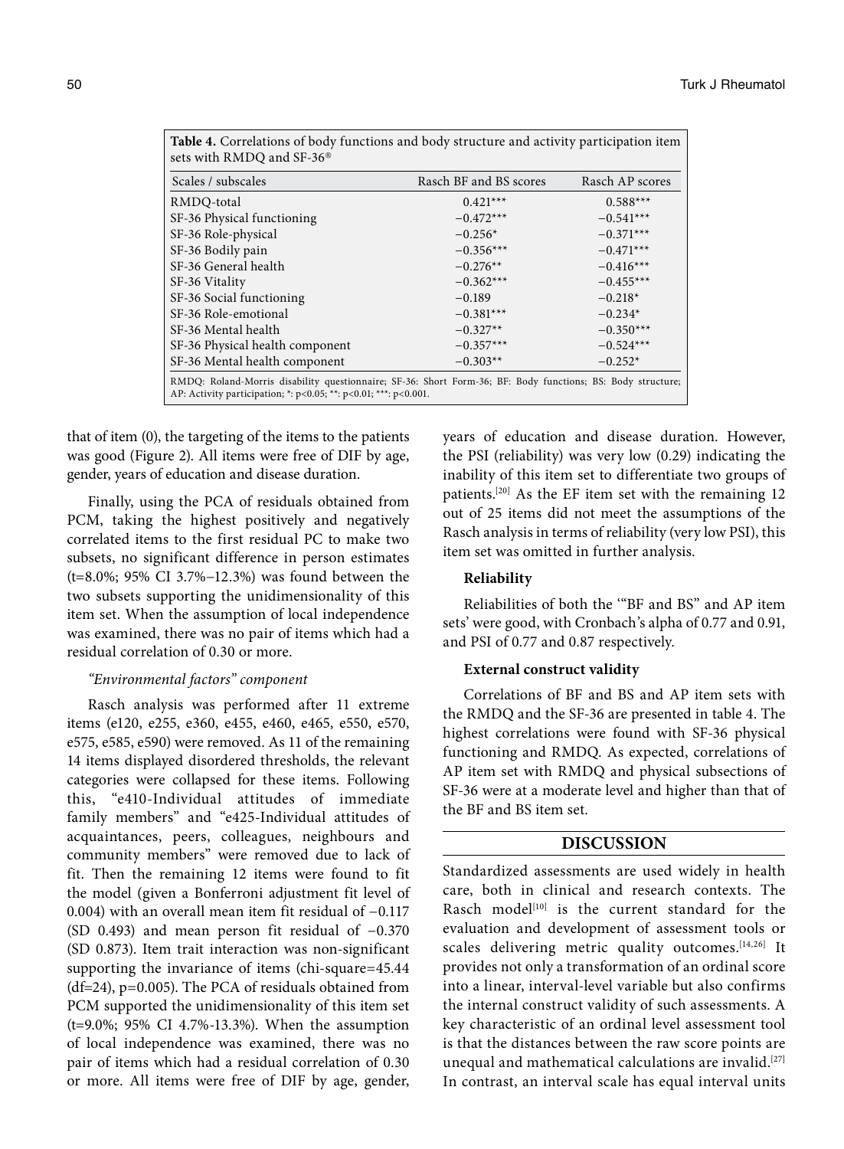| Scales / subscales              | Rasch BF and BS scores | Rasch AP scores |
|---------------------------------|------------------------|-----------------|
| RMDO-total                      | $0.421***$             | $0.588***$      |
| SF-36 Physical functioning      | $-0.472***$            | $-0.541***$     |
| SF-36 Role-physical             | $-0.256*$              | $-0.371***$     |
| SF-36 Bodily pain               | $-0.356***$            | $-0.471***$     |
| SF-36 General health            | $-0.276**$             | $-0.416***$     |
| SF-36 Vitality                  | $-0.362***$            | $-0.455***$     |
| SF-36 Social functioning        | $-0.189$               | $-0.218*$       |
| SF-36 Role-emotional            | $-0.381***$            | $-0.234*$       |
| SF-36 Mental health             | $-0.327**$             | $-0.350***$     |
| SF-36 Physical health component | $-0.357***$            | $-0.524***$     |
| SF-36 Mental health component   | $-0.303**$             | $-0.252*$       |

**Table 4.** Correlations of body functions and body structure and activity participation item

that of item (0), the targeting of the items to the patients was good (Figure 2). All items were free of DIF by age, gender, years of education and disease duration.

Finally, using the PCA of residuals obtained from PCM, taking the highest positively and negatively correlated items to the first residual PC to make two subsets, no significant difference in person estimates (t=8.0%; 95% CI 3.7%−12.3%) was found between the two subsets supporting the unidimensionality of this item set. When the assumption of local independence was examined, there was no pair of items which had a residual correlation of 0.30 or more.

## *"Environmental factors" component*

Rasch analysis was performed after 11 extreme items (e120, e255, e360, e455, e460, e465, e550, e570, e575, e585, e590) were removed. As 11 of the remaining 14 items displayed disordered thresholds, the relevant categories were collapsed for these items. Following this, "e410-Individual attitudes of immediate family members" and "e425-Individual attitudes of acquaintances, peers, colleagues, neighbours and community members" were removed due to lack of fit. Then the remaining 12 items were found to fit the model (given a Bonferroni adjustment fit level of 0.004) with an overall mean item fit residual of −0.117 (SD 0.493) and mean person fit residual of −0.370 (SD 0.873). Item trait interaction was non-significant supporting the invariance of items (chi-square=45.44 (df=24), p=0.005). The PCA of residuals obtained from PCM supported the unidimensionality of this item set (t=9.0%; 95% CI 4.7%-13.3%). When the assumption of local independence was examined, there was no pair of items which had a residual correlation of 0.30 or more. All items were free of DIF by age, gender, years of education and disease duration. However, the PSI (reliability) was very low (0.29) indicating the inability of this item set to differentiate two groups of patients.[20] As the EF item set with the remaining 12 out of 25 items did not meet the assumptions of the Rasch analysis in terms of reliability (very low PSI), this item set was omitted in further analysis.

# **Reliability**

Reliabilities of both the '"BF and BS" and AP item sets' were good, with Cronbach's alpha of 0.77 and 0.91, and PSI of 0.77 and 0.87 respectively.

## **External construct validity**

Correlations of BF and BS and AP item sets with the RMDQ and the SF-36 are presented in table 4. The highest correlations were found with SF-36 physical functioning and RMDQ. As expected, correlations of AP item set with RMDQ and physical subsections of SF-36 were at a moderate level and higher than that of the BF and BS item set.

## **DISCUSSION**

Standardized assessments are used widely in health care, both in clinical and research contexts. The Rasch model<sup>[10]</sup> is the current standard for the evaluation and development of assessment tools or scales delivering metric quality outcomes.<sup>[14,26]</sup> It provides not only a transformation of an ordinal score into a linear, interval-level variable but also confirms the internal construct validity of such assessments. A key characteristic of an ordinal level assessment tool is that the distances between the raw score points are unequal and mathematical calculations are invalid.[27] In contrast, an interval scale has equal interval units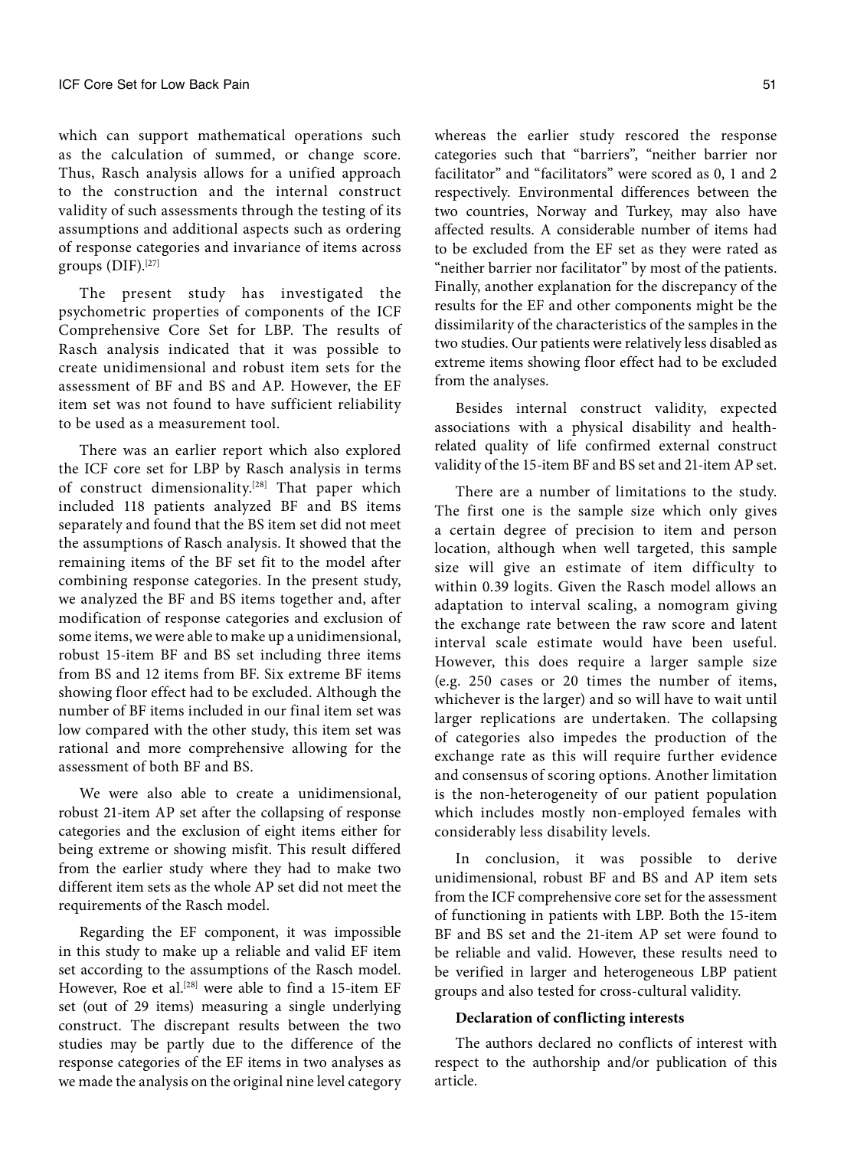which can support mathematical operations such as the calculation of summed, or change score. Thus, Rasch analysis allows for a unified approach to the construction and the internal construct validity of such assessments through the testing of its assumptions and additional aspects such as ordering of response categories and invariance of items across groups (DIF).[27]

The present study has investigated the psychometric properties of components of the ICF Comprehensive Core Set for LBP. The results of Rasch analysis indicated that it was possible to create unidimensional and robust item sets for the assessment of BF and BS and AP. However, the EF item set was not found to have sufficient reliability to be used as a measurement tool.

There was an earlier report which also explored the ICF core set for LBP by Rasch analysis in terms of construct dimensionality.<sup>[28]</sup> That paper which included 118 patients analyzed BF and BS items separately and found that the BS item set did not meet the assumptions of Rasch analysis. It showed that the remaining items of the BF set fit to the model after combining response categories. In the present study, we analyzed the BF and BS items together and, after modification of response categories and exclusion of some items, we were able to make up a unidimensional, robust 15-item BF and BS set including three items from BS and 12 items from BF. Six extreme BF items showing floor effect had to be excluded. Although the number of BF items included in our final item set was low compared with the other study, this item set was rational and more comprehensive allowing for the assessment of both BF and BS.

We were also able to create a unidimensional, robust 21-item AP set after the collapsing of response categories and the exclusion of eight items either for being extreme or showing misfit. This result differed from the earlier study where they had to make two different item sets as the whole AP set did not meet the requirements of the Rasch model.

Regarding the EF component, it was impossible in this study to make up a reliable and valid EF item set according to the assumptions of the Rasch model. However, Roe et al.<sup>[28]</sup> were able to find a 15-item EF set (out of 29 items) measuring a single underlying construct. The discrepant results between the two studies may be partly due to the difference of the response categories of the EF items in two analyses as we made the analysis on the original nine level category whereas the earlier study rescored the response categories such that "barriers", "neither barrier nor facilitator" and "facilitators" were scored as 0, 1 and 2 respectively. Environmental differences between the two countries, Norway and Turkey, may also have affected results. A considerable number of items had to be excluded from the EF set as they were rated as "neither barrier nor facilitator" by most of the patients. Finally, another explanation for the discrepancy of the results for the EF and other components might be the dissimilarity of the characteristics of the samples in the two studies. Our patients were relatively less disabled as extreme items showing floor effect had to be excluded from the analyses.

Besides internal construct validity, expected associations with a physical disability and healthrelated quality of life confirmed external construct validity of the 15-item BF and BS set and 21-item AP set.

There are a number of limitations to the study. The first one is the sample size which only gives a certain degree of precision to item and person location, although when well targeted, this sample size will give an estimate of item difficulty to within 0.39 logits. Given the Rasch model allows an adaptation to interval scaling, a nomogram giving the exchange rate between the raw score and latent interval scale estimate would have been useful. However, this does require a larger sample size (e.g. 250 cases or 20 times the number of items, whichever is the larger) and so will have to wait until larger replications are undertaken. The collapsing of categories also impedes the production of the exchange rate as this will require further evidence and consensus of scoring options. Another limitation is the non-heterogeneity of our patient population which includes mostly non-employed females with considerably less disability levels.

In conclusion, it was possible to derive unidimensional, robust BF and BS and AP item sets from the ICF comprehensive core set for the assessment of functioning in patients with LBP. Both the 15-item BF and BS set and the 21-item AP set were found to be reliable and valid. However, these results need to be verified in larger and heterogeneous LBP patient groups and also tested for cross-cultural validity.

#### **Declaration of conflicting interests**

The authors declared no conflicts of interest with respect to the authorship and/or publication of this article.